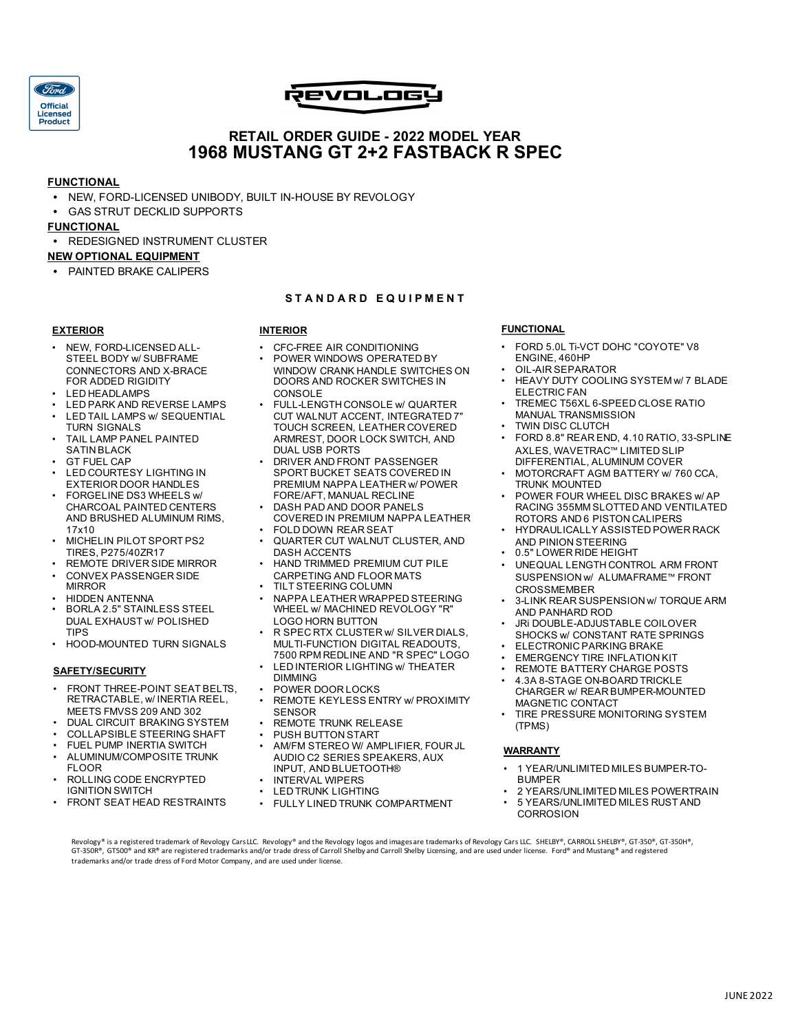

# .<br>Revolog

# **RETAIL ORDER GUIDE - 2022 MODEL YEAR 1968 MUSTANG GT 2+2 FASTBACK R SPEC**

#### **FUNCTIONAL**

- **•** NEW, FORD-LICENSED UNIBODY, BUILT IN-HOUSE BY REVOLOGY
- **•** GAS STRUT DECKLID SUPPORTS

#### **FUNCTIONAL**

**•** REDESIGNED INSTRUMENT CLUSTER

#### **NEW OPTIONAL EQUIPMENT**

**•** PAINTED BRAKE CALIPERS

#### **S T A N D A R D E Q U I P M E N T**

#### **EXTERIOR**

- NEW, FORD-LICENSED ALL-STEEL BODY w/ SUBFRAME CONNECTORS AND X-BRACE FOR ADDED RIGIDITY
- LED HEADLAMPS
- LED PARK AND REVERSE LAMPS LED TAIL LAMPS w/ SEQUENTIAL
- TURN SIGNALS
- TAIL LAMP PANEL PAINTED SATIN BLACK
- **GT FUEL CAP**
- LED COURTESY LIGHTING IN EXTERIOR DOOR HANDLES • FORGELINE DS3 WHEELS w/
- CHARCOAL PAINTED CENTERS AND BRUSHED ALUMINUM RIMS, 17x10
- MICHELIN PILOT SPORT PS2 TIRES, P275/40ZR17
- REMOTE DRIVER SIDE MIRROR • CONVEX PASSENGER SIDE
- **MIRROR** • HIDDEN ANTENNA
- BORLA 2.5" STAINLESS STEEL DUAL EXHAUST w/ POLISHED TIPS
- HOOD-MOUNTED TURN SIGNALS

#### **SAFETY/SECURITY**

- FRONT THREE-POINT SEAT BELTS, RETRACTABLE, w/ INERTIA REEL, MEETS FMVSS 209 AND 302
- DUAL CIRCUIT BRAKING SYSTEM
- COLLAPSIBLE STEERING SHAFT
- FUEL PUMP INERTIA SWITCH
- ALUMINUM/COMPOSITE TRUNK FLOOR
- ROLLING CODE ENCRYPTED IGNITION SWITCH
- **FRONT SEAT HEAD RESTRAINTS**
- **INTERIOR**
- CFC-FREE AIR CONDITIONING
- POWER WINDOWS OPERATED BY WINDOW CRANK HANDLE SWITCHES ON DOORS AND ROCKER SWITCHES IN **CONSOLE**
- FULL-LENGTH CONSOLE w/ QUARTER CUT WALNUT ACCENT, INTEGRATED 7" TOUCH SCREEN, LEATHER COVERED ARMREST, DOOR LOCK SWITCH, AND DUAL USB PORTS
- DRIVER AND FRONT PASSENGER SPORT BUCKET SEATS COVERED IN PREMIUM NAPPA LEATHER w/ POWER FORE/AFT, MANUAL RECLINE
- DASH PAD AND DOOR PANELS COVERED IN PREMIUM NAPPA LEATHER
- FOLD DOWN REAR SEAT
- QUARTER CUT WALNUT CLUSTER, AND DASH ACCENTS
- HAND TRIMMED PREMIUM CUT PILE CARPETING AND FLOOR MATS
- TILT STEERING COLUMN
- NAPPA LEATHER WRAPPED STEERING WHEEL w/ MACHINED REVOLOGY "R" LOGO HORN BUTTON
- R SPEC RTX CLUSTER w/ SILVER DIALS, MULTI-FUNCTION DIGITAL READOUTS, 7500 RPM REDLINE AND "R SPEC" LOGO
- LED INTERIOR LIGHTING w/ THEATER DIMMING
- POWER DOOR LOCKS
- REMOTE KEYLESS ENTRY w/ PROXIMITY SENSOR
- REMOTE TRUNK RELEASE
- PUSH BUTTON START
- AM/FM STEREO W/ AMPLIFIER, FOUR JL AUDIO C2 SERIES SPEAKERS, AUX INPUT, AND BLUETOOTH®
- INTERVAL WIPERS
- **LED TRUNK LIGHTING**
- FULLY LINED TRUNK COMPARTMENT

#### **FUNCTIONAL**

- FORD 5.0L Ti-VCT DOHC "COYOTE" V8 ENGINE, 460HP
- OIL-AIR SEPARATOR
- HEAVY DUTY COOLING SYSTEM w/ 7 BLADE ELECTRIC FAN
- TREMEC T56XL 6-SPEED CLOSE RATIO MANUAL TRANSMISSION
- **TWIN DISC CLUTCH**
- FORD 8.8" REAR END, 4.10 RATIO, 33-SPLINE AXLES, WAVETRAC™ LIMITED SLIP DIFFERENTIAL, ALUMINUM COVER
- MOTORCRAFT AGM BATTERY w/ 760 CCA, TRUNK MOUNTED
- POWER FOUR WHEEL DISC BRAKES w/ AP RACING 355MM SLOTTED AND VENTILATED ROTORS AND 6 PISTON CALIPERS
- HYDRAULICALLY ASSISTED POWER RACK AND PINION STEERING
- 0.5" LOWER RIDE HEIGHT
- UNEQUAL LENGTH CONTROL ARM FRONT SUSPENSION w/ ALUMAFRAME™ FRONT **CROSSMEMBER**
- 3-LINK REAR SUSPENSION w/ TORQUE ARM AND PANHARD ROD
- JRi DOUBLE-ADJUSTABLE COILOVER SHOCKS w/ CONSTANT RATE SPRINGS
- ELECTRONIC PARKING BRAKE
- **EMERGENCY TIRE INFLATION KIT**
- REMOTE BATTERY CHARGE POSTS
- 4.3A 8-STAGE ON-BOARD TRICKLE CHARGER w/ REAR BUMPER-MOUNTED MAGNETIC CONTACT
- TIRE PRESSURE MONITORING SYSTEM (TPMS)

#### **WARRANTY**

- 1 YEAR/UNLIMITED MILES BUMPER-TO-BUMPER
- 2 YEARS/UNLIMITED MILES POWERTRAIN • 5 YEARS/UNLIMITED MILES RUST AND
	- **CORROSION**

Revology® is a registered trademark of Revology CarsLLC. Revology® and the Revology logos and imagesare trademarks of Revology Cars LLC. SHELBY®, CARROLL SHELBY®, GT-350®, GT-350®, GT-350®, GT-350®, GT-350®, GT-350®, GT-35 trademarks and/or trade dress of Ford Motor Company, and are used under license.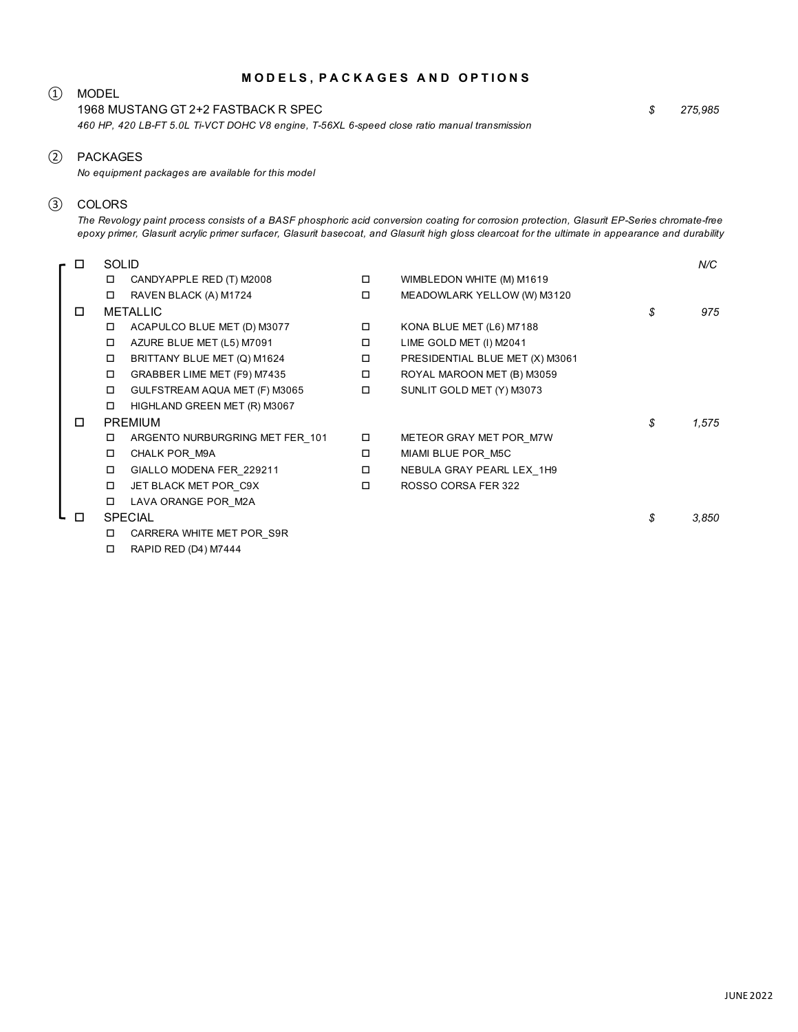#### **M O D E L S , P A C K A G E S A N D O P T I O N S**

### ① MODEL

1968 MUSTANG GT 2+2 FASTBACK R SPEC *460 HP, 420 LB-FT 5.0L Ti-VCT DOHC V8 engine, T-56XL 6-speed close ratio manual transmission* *\$ 275,985*

#### ② PACKAGES

*No equipment packages are available for this model*

# ③ COLORS

*The Revology paint process consists of a BASF phosphoric acid conversion coating for corrosion protection, Glasurit EP-Series chromate-free epoxy primer, Glasurit acrylic primer surfacer, Glasurit basecoat, and Glasurit high gloss clearcoat for the ultimate in appearance and durability*

| П      | <b>SOLID</b>    |                                 |        |                                 |    | N/C   |
|--------|-----------------|---------------------------------|--------|---------------------------------|----|-------|
|        | □               | CANDYAPPLE RED (T) M2008        | $\Box$ | WIMBLEDON WHITE (M) M1619       |    |       |
|        | □               | RAVEN BLACK (A) M1724           | $\Box$ | MEADOWLARK YELLOW (W) M3120     |    |       |
| □      | <b>METALLIC</b> |                                 |        |                                 |    | 975   |
|        |                 | ACAPULCO BLUE MET (D) M3077     | $\Box$ | KONA BLUE MET (L6) M7188        |    |       |
|        | □               | AZURE BLUE MET (L5) M7091       | $\Box$ | LIME GOLD MET (I) M2041         |    |       |
|        | $\Box$          | BRITTANY BLUE MET (Q) M1624     | Π.     | PRESIDENTIAL BLUE MET (X) M3061 |    |       |
|        | $\Box$          | GRABBER LIME MET (F9) M7435     | о      | ROYAL MAROON MET (B) M3059      |    |       |
|        | $\Box$          | GULFSTREAM AQUA MET (F) M3065   | $\Box$ | SUNLIT GOLD MET (Y) M3073       |    |       |
|        | □               | HIGHLAND GREEN MET (R) M3067    |        |                                 |    |       |
| П      | <b>PREMIUM</b>  |                                 |        |                                 |    | 1,575 |
|        | □               | ARGENTO NURBURGRING MET FER 101 | $\Box$ | METEOR GRAY MET POR_M7W         |    |       |
|        | $\Box$          | CHALK POR M9A                   | □      | MIAMI BLUE POR_M5C              |    |       |
|        | □               | GIALLO MODENA FER_229211        | $\Box$ | NEBULA GRAY PEARL LEX 1H9       |    |       |
|        | □               | JET BLACK MET POR C9X           | 0      | ROSSO CORSA FER 322             |    |       |
|        | □               | LAVA ORANGE POR M2A             |        |                                 |    |       |
| $\Box$ | <b>SPECIAL</b>  |                                 |        |                                 | \$ | 3,850 |
|        | □               | CARRERA WHITE MET POR S9R       |        |                                 |    |       |
|        | □               | RAPID RED (D4) M7444            |        |                                 |    |       |